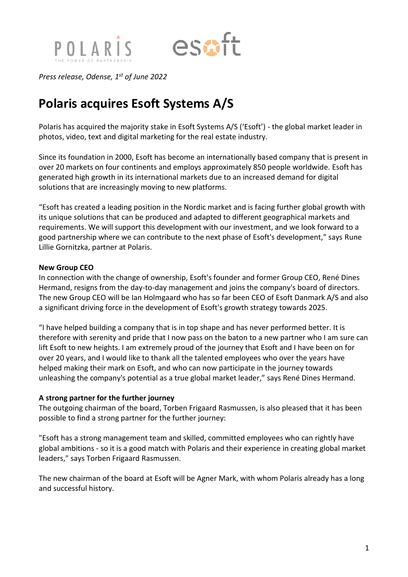



*Press release, Odense, 1st of June 2022*

# **Polaris acquires Esoft Systems A/S**

Polaris has acquired the majority stake in Esoft Systems A/S ('Esoft') - the global market leader in photos, video, text and digital marketing for the real estate industry.

Since its foundation in 2000, Esoft has become an internationally based company that is present in over 20 markets on four continents and employs approximately 850 people worldwide. Esoft has generated high growth in its international markets due to an increased demand for digital solutions that are increasingly moving to new platforms.

"Esoft has created a leading position in the Nordic market and is facing further global growth with its unique solutions that can be produced and adapted to different geographical markets and requirements. We will support this development with our investment, and we look forward to a good partnership where we can contribute to the next phase of Esoft's development," says Rune Lillie Gornitzka, partner at Polaris.

## **New Group CEO**

In connection with the change of ownership, Esoft's founder and former Group CEO, René Dines Hermand, resigns from the day-to-day management and joins the company's board of directors. The new Group CEO will be Ian Holmgaard who has so far been CEO of Esoft Danmark A/S and also a significant driving force in the development of Esoft's growth strategy towards 2025.

"I have helped building a company that is in top shape and has never performed better. It is therefore with serenity and pride that I now pass on the baton to a new partner who I am sure can lift Esoft to new heights. I am extremely proud of the journey that Esoft and I have been on for over 20 years, and I would like to thank all the talented employees who over the years have helped making their mark on Esoft, and who can now participate in the journey towards unleashing the company's potential as a true global market leader," says René Dines Hermand.

## **A strong partner for the further journey**

The outgoing chairman of the board, Torben Frigaard Rasmussen, is also pleased that it has been possible to find a strong partner for the further journey:

"Esoft has a strong management team and skilled, committed employees who can rightly have global ambitions - so it is a good match with Polaris and their experience in creating global market leaders," says Torben Frigaard Rasmussen.

The new chairman of the board at Esoft will be Agner Mark, with whom Polaris already has a long and successful history.